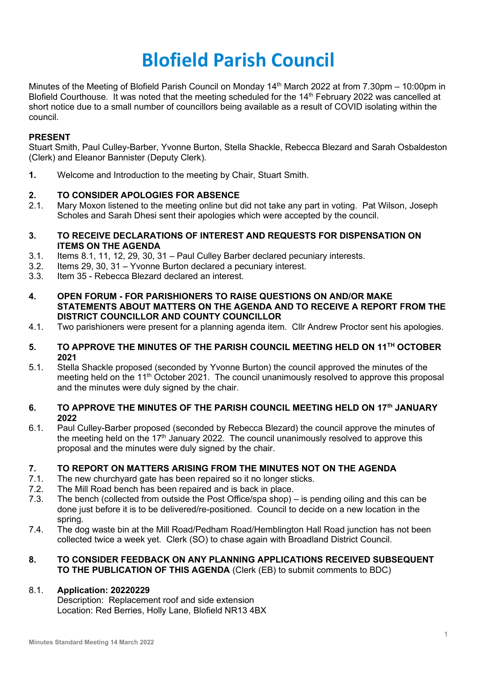# **Blofield Parish Council**

Minutes of the Meeting of Blofield Parish Council on Monday 14<sup>th</sup> March 2022 at from 7.30pm – 10:00pm in Blofield Courthouse. It was noted that the meeting scheduled for the 14<sup>th</sup> February 2022 was cancelled at short notice due to a small number of councillors being available as a result of COVID isolating within the council.

## **PRESENT**

Stuart Smith, Paul Culley-Barber, Yvonne Burton, Stella Shackle, Rebecca Blezard and Sarah Osbaldeston (Clerk) and Eleanor Bannister (Deputy Clerk).

**1.** Welcome and Introduction to the meeting by Chair, Stuart Smith.

#### **2. TO CONSIDER APOLOGIES FOR ABSENCE**

- 2.1. Mary Moxon listened to the meeting online but did not take any part in voting. Pat Wilson, Joseph Scholes and Sarah Dhesi sent their apologies which were accepted by the council.
- **3. TO RECEIVE DECLARATIONS OF INTEREST AND REQUESTS FOR DISPENSATION ON ITEMS ON THE AGENDA**
- 3.1. Items 8.1, 11, 12, 29, 30, 31 Paul Culley Barber declared pecuniary interests.
- 3.2. Items 29, 30, 31 Yvonne Burton declared a pecuniary interest.
- 3.3. Item 35 Rebecca Blezard declared an interest.
- **4. OPEN FORUM - FOR PARISHIONERS TO RAISE QUESTIONS ON AND/OR MAKE STATEMENTS ABOUT MATTERS ON THE AGENDA AND TO RECEIVE A REPORT FROM THE DISTRICT COUNCILLOR AND COUNTY COUNCILLOR**
- 4.1. Two parishioners were present for a planning agenda item. Cllr Andrew Proctor sent his apologies.

#### **5. TO APPROVE THE MINUTES OF THE PARISH COUNCIL MEETING HELD ON 11TH OCTOBER 2021**

- 5.1. Stella Shackle proposed (seconded by Yvonne Burton) the council approved the minutes of the meeting held on the 11<sup>th</sup> October 2021. The council unanimously resolved to approve this proposal and the minutes were duly signed by the chair.
- **6. TO APPROVE THE MINUTES OF THE PARISH COUNCIL MEETING HELD ON 17th JANUARY 2022**
- 6.1. Paul Culley-Barber proposed (seconded by Rebecca Blezard) the council approve the minutes of the meeting held on the  $17<sup>th</sup>$  January 2022. The council unanimously resolved to approve this proposal and the minutes were duly signed by the chair.

#### **7. TO REPORT ON MATTERS ARISING FROM THE MINUTES NOT ON THE AGENDA**

- 7.1. The new churchyard gate has been repaired so it no longer sticks.
- 7.2. The Mill Road bench has been repaired and is back in place.
- 7.3. The bench (collected from outside the Post Office/spa shop) is pending oiling and this can be done just before it is to be delivered/re-positioned. Council to decide on a new location in the spring.
- 7.4. The dog waste bin at the Mill Road/Pedham Road/Hemblington Hall Road junction has not been collected twice a week yet. Clerk (SO) to chase again with Broadland District Council.

#### **8. TO CONSIDER FEEDBACK ON ANY PLANNING APPLICATIONS RECEIVED SUBSEQUENT TO THE PUBLICATION OF THIS AGENDA** (Clerk (EB) to submit comments to BDC)

#### 8.1. **Application: 20220229**

Description: Replacement roof and side extension Location: Red Berries, Holly Lane, Blofield NR13 4BX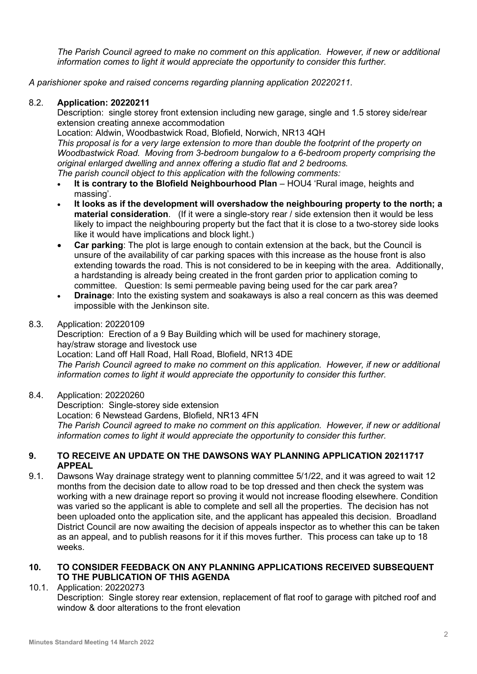*The Parish Council agreed to make no comment on this application. However, if new or additional information comes to light it would appreciate the opportunity to consider this further.* 

*A parishioner spoke and raised concerns regarding planning application 20220211.* 

#### 8.2. **Application: 20220211**

Description: single storey front extension including new garage, single and 1.5 storey side/rear extension creating annexe accommodation

Location: Aldwin, Woodbastwick Road, Blofield, Norwich, NR13 4QH

*This proposal is for a very large extension to more than double the footprint of the property on Woodbastwick Road. Moving from 3-bedroom bungalow to a 6-bedroom property comprising the original enlarged dwelling and annex offering a studio flat and 2 bedrooms.*

*The parish council object to this application with the following comments:*

- **It is contrary to the Blofield Neighbourhood Plan** HOU4 'Rural image, heights and massing'.
- **It looks as if the development will overshadow the neighbouring property to the north; a material consideration**. (If it were a single-story rear / side extension then it would be less likely to impact the neighbouring property but the fact that it is close to a two-storey side looks like it would have implications and block light.)
- **Car parking**: The plot is large enough to contain extension at the back, but the Council is unsure of the availability of car parking spaces with this increase as the house front is also extending towards the road. This is not considered to be in keeping with the area. Additionally, a hardstanding is already being created in the front garden prior to application coming to committee. Question: Is semi permeable paving being used for the car park area?
- **Drainage:** Into the existing system and soakaways is also a real concern as this was deemed impossible with the Jenkinson site.

#### 8.3. Application: 20220109

Description: Erection of a 9 Bay Building which will be used for machinery storage, hay/straw storage and livestock use Location: Land off Hall Road, Hall Road, Blofield, NR13 4DE *The Parish Council agreed to make no comment on this application. However, if new or additional information comes to light it would appreciate the opportunity to consider this further.* 

8.4. Application: 20220260

Description: Single-storey side extension Location: 6 Newstead Gardens, Blofield, NR13 4FN *The Parish Council agreed to make no comment on this application. However, if new or additional information comes to light it would appreciate the opportunity to consider this further.* 

#### **9. TO RECEIVE AN UPDATE ON THE DAWSONS WAY PLANNING APPLICATION 20211717 APPEAL**

9.1. Dawsons Way drainage strategy went to planning committee 5/1/22, and it was agreed to wait 12 months from the decision date to allow road to be top dressed and then check the system was working with a new drainage report so proving it would not increase flooding elsewhere. Condition was varied so the applicant is able to complete and sell all the properties. The decision has not been uploaded onto the application site, and the applicant has appealed this decision. Broadland District Council are now awaiting the decision of appeals inspector as to whether this can be taken as an appeal, and to publish reasons for it if this moves further. This process can take up to 18 weeks.

#### **10. TO CONSIDER FEEDBACK ON ANY PLANNING APPLICATIONS RECEIVED SUBSEQUENT TO THE PUBLICATION OF THIS AGENDA**

#### 10.1. Application: 20220273

Description: Single storey rear extension, replacement of flat roof to garage with pitched roof and window & door alterations to the front elevation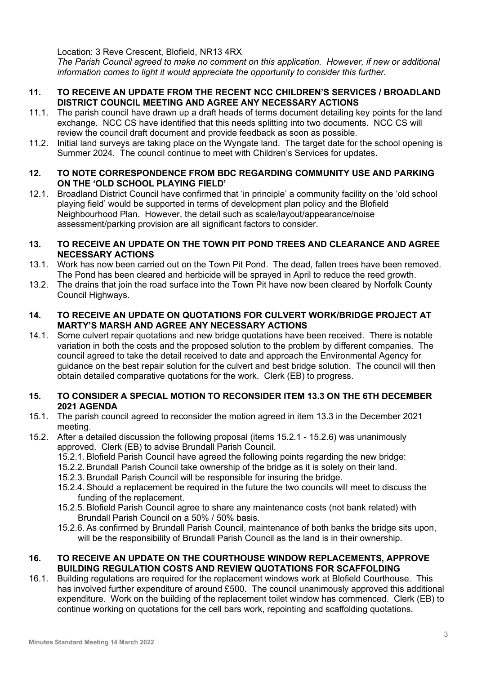Location: 3 Reve Crescent, Blofield, NR13 4RX

*The Parish Council agreed to make no comment on this application. However, if new or additional information comes to light it would appreciate the opportunity to consider this further.* 

#### **11. TO RECEIVE AN UPDATE FROM THE RECENT NCC CHILDREN'S SERVICES / BROADLAND DISTRICT COUNCIL MEETING AND AGREE ANY NECESSARY ACTIONS**

- 11.1. The parish council have drawn up a draft heads of terms document detailing key points for the land exchange. NCC CS have identified that this needs splitting into two documents. NCC CS will review the council draft document and provide feedback as soon as possible.
- 11.2. Initial land surveys are taking place on the Wyngate land. The target date for the school opening is Summer 2024. The council continue to meet with Children's Services for updates.

#### **12. TO NOTE CORRESPONDENCE FROM BDC REGARDING COMMUNITY USE AND PARKING ON THE 'OLD SCHOOL PLAYING FIELD'**

12.1. Broadland District Council have confirmed that 'in principle' a community facility on the 'old school playing field' would be supported in terms of development plan policy and the Blofield Neighbourhood Plan. However, the detail such as scale/layout/appearance/noise assessment/parking provision are all significant factors to consider.

#### **13. TO RECEIVE AN UPDATE ON THE TOWN PIT POND TREES AND CLEARANCE AND AGREE NECESSARY ACTIONS**

- 13.1. Work has now been carried out on the Town Pit Pond. The dead, fallen trees have been removed. The Pond has been cleared and herbicide will be sprayed in April to reduce the reed growth.
- 13.2. The drains that join the road surface into the Town Pit have now been cleared by Norfolk County Council Highways.

#### **14. TO RECEIVE AN UPDATE ON QUOTATIONS FOR CULVERT WORK/BRIDGE PROJECT AT MARTY'S MARSH AND AGREE ANY NECESSARY ACTIONS**

14.1. Some culvert repair quotations and new bridge quotations have been received. There is notable variation in both the costs and the proposed solution to the problem by different companies. The council agreed to take the detail received to date and approach the Environmental Agency for guidance on the best repair solution for the culvert and best bridge solution. The council will then obtain detailed comparative quotations for the work. Clerk (EB) to progress.

#### **15. TO CONSIDER A SPECIAL MOTION TO RECONSIDER ITEM 13.3 ON THE 6TH DECEMBER 2021 AGENDA**

- 15.1. The parish council agreed to reconsider the motion agreed in item 13.3 in the December 2021 meeting.
- 15.2. After a detailed discussion the following proposal (items 15.2.1 15.2.6) was unanimously approved. Clerk (EB) to advise Brundall Parish Council.
	- 15.2.1. Blofield Parish Council have agreed the following points regarding the new bridge:
	- 15.2.2. Brundall Parish Council take ownership of the bridge as it is solely on their land.
	- 15.2.3. Brundall Parish Council will be responsible for insuring the bridge.
	- 15.2.4. Should a replacement be required in the future the two councils will meet to discuss the funding of the replacement.
	- 15.2.5. Blofield Parish Council agree to share any maintenance costs (not bank related) with Brundall Parish Council on a 50% / 50% basis.
	- 15.2.6. As confirmed by Brundall Parish Council, maintenance of both banks the bridge sits upon, will be the responsibility of Brundall Parish Council as the land is in their ownership.

#### **16. TO RECEIVE AN UPDATE ON THE COURTHOUSE WINDOW REPLACEMENTS, APPROVE BUILDING REGULATION COSTS AND REVIEW QUOTATIONS FOR SCAFFOLDING**

16.1. Building regulations are required for the replacement windows work at Blofield Courthouse. This has involved further expenditure of around £500. The council unanimously approved this additional expenditure. Work on the building of the replacement toilet window has commenced. Clerk (EB) to continue working on quotations for the cell bars work, repointing and scaffolding quotations.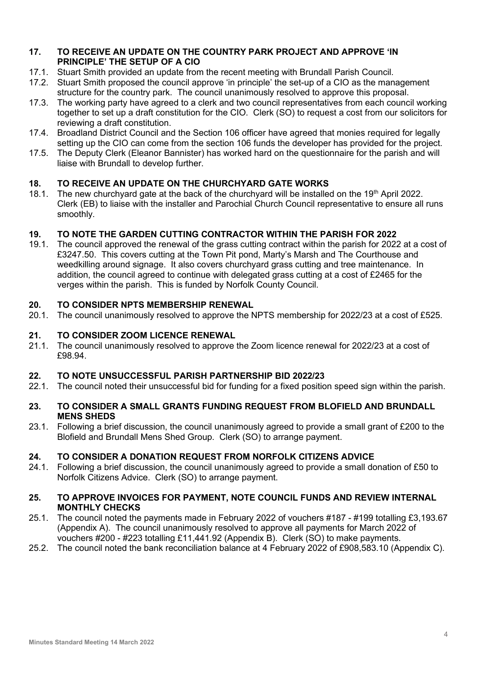#### **17. TO RECEIVE AN UPDATE ON THE COUNTRY PARK PROJECT AND APPROVE 'IN PRINCIPLE' THE SETUP OF A CIO**

- 17.1. Stuart Smith provided an update from the recent meeting with Brundall Parish Council.
- 17.2. Stuart Smith proposed the council approve 'in principle' the set-up of a CIO as the management structure for the country park. The council unanimously resolved to approve this proposal.
- 17.3. The working party have agreed to a clerk and two council representatives from each council working together to set up a draft constitution for the CIO. Clerk (SO) to request a cost from our solicitors for reviewing a draft constitution.
- 17.4. Broadland District Council and the Section 106 officer have agreed that monies required for legally setting up the CIO can come from the section 106 funds the developer has provided for the project.
- 17.5. The Deputy Clerk (Eleanor Bannister) has worked hard on the questionnaire for the parish and will liaise with Brundall to develop further.

## **18. TO RECEIVE AN UPDATE ON THE CHURCHYARD GATE WORKS**

18.1. The new churchyard gate at the back of the churchyard will be installed on the 19th April 2022. Clerk (EB) to liaise with the installer and Parochial Church Council representative to ensure all runs smoothly.

#### **19. TO NOTE THE GARDEN CUTTING CONTRACTOR WITHIN THE PARISH FOR 2022**

19.1. The council approved the renewal of the grass cutting contract within the parish for 2022 at a cost of £3247.50. This covers cutting at the Town Pit pond, Marty's Marsh and The Courthouse and weedkilling around signage. It also covers churchyard grass cutting and tree maintenance. In addition, the council agreed to continue with delegated grass cutting at a cost of £2465 for the verges within the parish. This is funded by Norfolk County Council.

#### **20. TO CONSIDER NPTS MEMBERSHIP RENEWAL**

20.1. The council unanimously resolved to approve the NPTS membership for 2022/23 at a cost of £525.

#### **21. TO CONSIDER ZOOM LICENCE RENEWAL**

21.1. The council unanimously resolved to approve the Zoom licence renewal for 2022/23 at a cost of £98.94.

#### **22. TO NOTE UNSUCCESSFUL PARISH PARTNERSHIP BID 2022/23**

22.1. The council noted their unsuccessful bid for funding for a fixed position speed sign within the parish.

#### **23. TO CONSIDER A SMALL GRANTS FUNDING REQUEST FROM BLOFIELD AND BRUNDALL MENS SHEDS**

23.1. Following a brief discussion, the council unanimously agreed to provide a small grant of £200 to the Blofield and Brundall Mens Shed Group. Clerk (SO) to arrange payment.

#### **24. TO CONSIDER A DONATION REQUEST FROM NORFOLK CITIZENS ADVICE**

24.1. Following a brief discussion, the council unanimously agreed to provide a small donation of £50 to Norfolk Citizens Advice. Clerk (SO) to arrange payment.

#### **25. TO APPROVE INVOICES FOR PAYMENT, NOTE COUNCIL FUNDS AND REVIEW INTERNAL MONTHLY CHECKS**

- 25.1. The council noted the payments made in February 2022 of vouchers #187 #199 totalling £3,193.67 (Appendix A). The council unanimously resolved to approve all payments for March 2022 of vouchers #200 - #223 totalling £11,441.92 (Appendix B). Clerk (SO) to make payments.
- 25.2. The council noted the bank reconciliation balance at 4 February 2022 of £908,583.10 (Appendix C).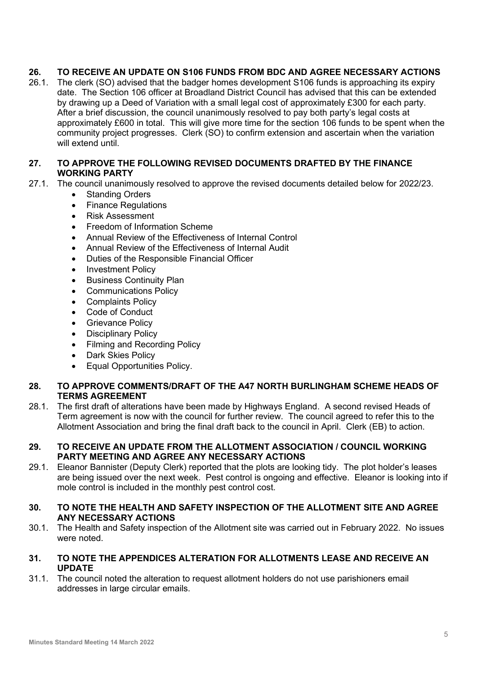## **26. TO RECEIVE AN UPDATE ON S106 FUNDS FROM BDC AND AGREE NECESSARY ACTIONS**

26.1. The clerk (SO) advised that the badger homes development S106 funds is approaching its expiry date. The Section 106 officer at Broadland District Council has advised that this can be extended by drawing up a Deed of Variation with a small legal cost of approximately £300 for each party. After a brief discussion, the council unanimously resolved to pay both party's legal costs at approximately £600 in total. This will give more time for the section 106 funds to be spent when the community project progresses. Clerk (SO) to confirm extension and ascertain when the variation will extend until.

#### **27. TO APPROVE THE FOLLOWING REVISED DOCUMENTS DRAFTED BY THE FINANCE WORKING PARTY**

- 27.1. The council unanimously resolved to approve the revised documents detailed below for 2022/23.
	- Standing Orders
	- Finance Regulations
	- Risk Assessment
	- Freedom of Information Scheme
	- Annual Review of the Effectiveness of Internal Control
	- Annual Review of the Effectiveness of Internal Audit
	- Duties of the Responsible Financial Officer
	- Investment Policy
	- Business Continuity Plan
	- Communications Policy
	- Complaints Policy
	- Code of Conduct
	- **Grievance Policy**
	- Disciplinary Policy
	- Filming and Recording Policy
	- Dark Skies Policy
	- Equal Opportunities Policy.

#### **28. TO APPROVE COMMENTS/DRAFT OF THE A47 NORTH BURLINGHAM SCHEME HEADS OF TERMS AGREEMENT**

28.1. The first draft of alterations have been made by Highways England. A second revised Heads of Term agreement is now with the council for further review. The council agreed to refer this to the Allotment Association and bring the final draft back to the council in April. Clerk (EB) to action.

#### **29. TO RECEIVE AN UPDATE FROM THE ALLOTMENT ASSOCIATION / COUNCIL WORKING PARTY MEETING AND AGREE ANY NECESSARY ACTIONS**

- 29.1. Eleanor Bannister (Deputy Clerk) reported that the plots are looking tidy. The plot holder's leases are being issued over the next week. Pest control is ongoing and effective. Eleanor is looking into if mole control is included in the monthly pest control cost.
- **30. TO NOTE THE HEALTH AND SAFETY INSPECTION OF THE ALLOTMENT SITE AND AGREE ANY NECESSARY ACTIONS**
- 30.1. The Health and Safety inspection of the Allotment site was carried out in February 2022. No issues were noted.

#### **31. TO NOTE THE APPENDICES ALTERATION FOR ALLOTMENTS LEASE AND RECEIVE AN UPDATE**

31.1. The council noted the alteration to request allotment holders do not use parishioners email addresses in large circular emails.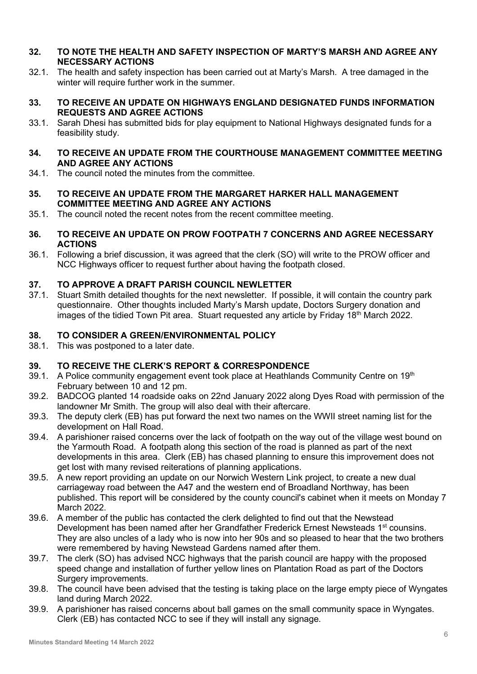- **32. TO NOTE THE HEALTH AND SAFETY INSPECTION OF MARTY'S MARSH AND AGREE ANY NECESSARY ACTIONS**
- 32.1. The health and safety inspection has been carried out at Marty's Marsh. A tree damaged in the winter will require further work in the summer.
- **33. TO RECEIVE AN UPDATE ON HIGHWAYS ENGLAND DESIGNATED FUNDS INFORMATION REQUESTS AND AGREE ACTIONS**
- 33.1. Sarah Dhesi has submitted bids for play equipment to National Highways designated funds for a feasibility study.
- **34. TO RECEIVE AN UPDATE FROM THE COURTHOUSE MANAGEMENT COMMITTEE MEETING AND AGREE ANY ACTIONS**
- 34.1. The council noted the minutes from the committee.
- **35. TO RECEIVE AN UPDATE FROM THE MARGARET HARKER HALL MANAGEMENT COMMITTEE MEETING AND AGREE ANY ACTIONS**
- 35.1. The council noted the recent notes from the recent committee meeting.
- **36. TO RECEIVE AN UPDATE ON PROW FOOTPATH 7 CONCERNS AND AGREE NECESSARY ACTIONS**
- 36.1. Following a brief discussion, it was agreed that the clerk (SO) will write to the PROW officer and NCC Highways officer to request further about having the footpath closed.

#### **37. TO APPROVE A DRAFT PARISH COUNCIL NEWLETTER**

37.1. Stuart Smith detailed thoughts for the next newsletter. If possible, it will contain the country park questionnaire. Other thoughts included Marty's Marsh update, Doctors Surgery donation and images of the tidied Town Pit area. Stuart requested any article by Friday 18<sup>th</sup> March 2022.

#### **38. TO CONSIDER A GREEN/ENVIRONMENTAL POLICY**

38.1. This was postponed to a later date.

#### **39. TO RECEIVE THE CLERK'S REPORT & CORRESPONDENCE**

- 39.1. A Police community engagement event took place at Heathlands Community Centre on 19th February between 10 and 12 pm.
- 39.2. BADCOG planted 14 roadside oaks on 22nd January 2022 along Dyes Road with permission of the landowner Mr Smith. The group will also deal with their aftercare.
- 39.3. The deputy clerk (EB) has put forward the next two names on the WWII street naming list for the development on Hall Road.
- 39.4. A parishioner raised concerns over the lack of footpath on the way out of the village west bound on the Yarmouth Road. A footpath along this section of the road is planned as part of the next developments in this area. Clerk (EB) has chased planning to ensure this improvement does not get lost with many revised reiterations of planning applications.
- 39.5. A new report providing an update on our Norwich Western Link project, to create a new dual carriageway road between the A47 and the western end of Broadland Northway, has been published. This report will be considered by the county council's cabinet when it meets on Monday 7 March 2022.
- 39.6. A member of the public has contacted the clerk delighted to find out that the Newstead Development has been named after her Grandfather Frederick Ernest Newsteads 1<sup>st</sup> counsins. They are also uncles of a lady who is now into her 90s and so pleased to hear that the two brothers were remembered by having Newstead Gardens named after them.
- 39.7. The clerk (SO) has advised NCC highways that the parish council are happy with the proposed speed change and installation of further yellow lines on Plantation Road as part of the Doctors Surgery improvements.
- 39.8. The council have been advised that the testing is taking place on the large empty piece of Wyngates land during March 2022.
- 39.9. A parishioner has raised concerns about ball games on the small community space in Wyngates. Clerk (EB) has contacted NCC to see if they will install any signage.